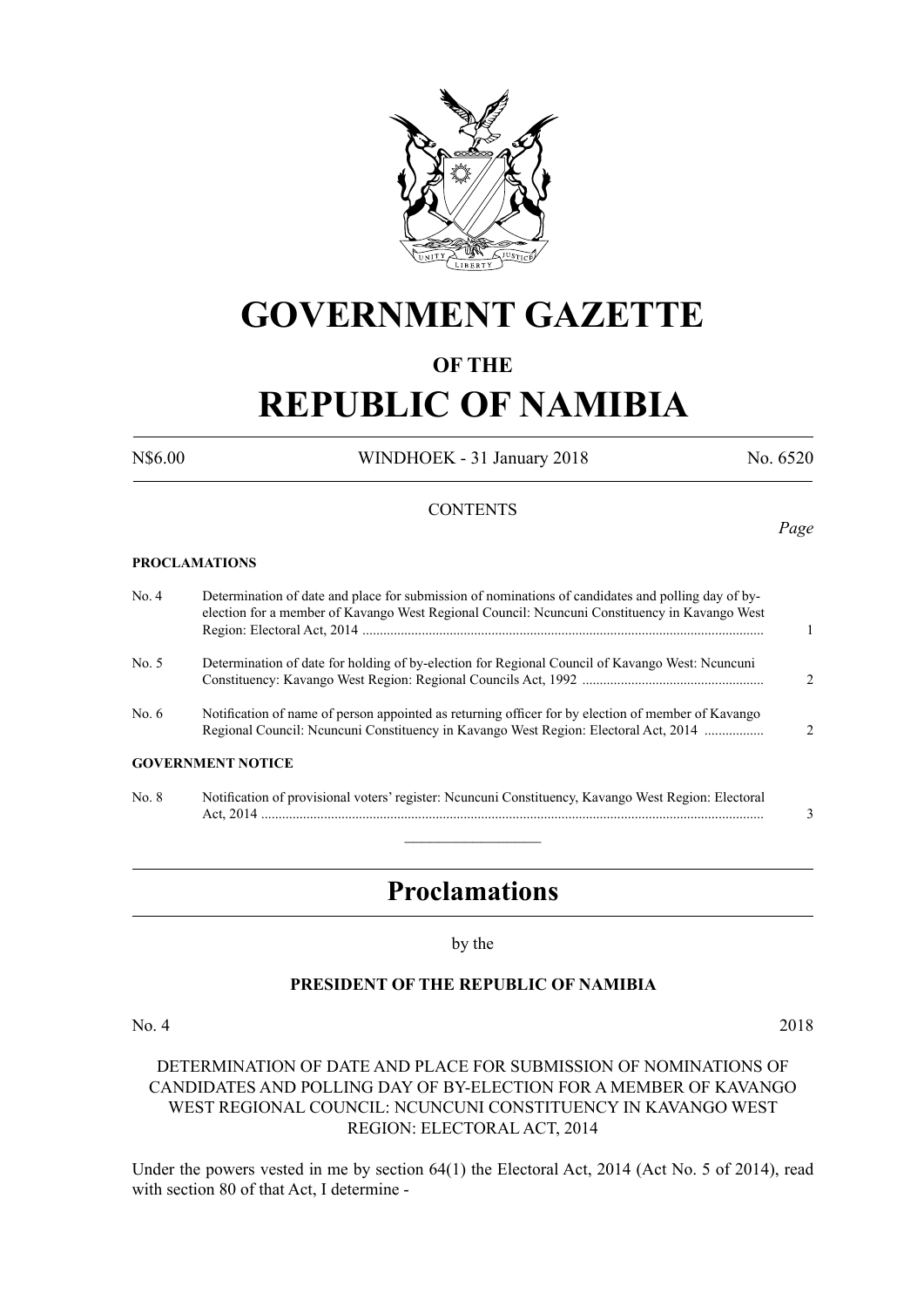

## **GOVERNMENT GAZETTE**

#### **OF THE**

# **REPUBLIC OF NAMIBIA**

N\$6.00 WINDHOEK - 31 January 2018 No. 6520

#### **CONTENTS**

**PROCLAMATIONS**

No. 4 Determination of date and place for submission of nominations of candidates and polling day of by election for a member of Kavango West Regional Council: Ncuncuni Constituency in Kavango West Region: Electoral Act, 2014 ................................................................................................................... 1 No. 5 Determination of date for holding of by-election for Regional Council of Kavango West: Ncuncuni Constituency: Kavango West Region: Regional Councils Act, 1992 .................................................... 2 No. 6 Notification of name of person appointed as returning officer for by election of member of Kavango Regional Council: Ncuncuni Constituency in Kavango West Region: Electoral Act, 2014 ................. 2 **GOVERNMENT NOTICE** No. 8 Notification of provisional voters' register: Ncuncuni Constituency, Kavango West Region: Electoral Act, 2014 ................................................................................................................................................ 3  $\overline{\phantom{a}}$  , where  $\overline{\phantom{a}}$ 

## **Proclamations**

by the

#### **PRESIDENT OF THE REPUBLIC OF NAMIBIA**

No. 4 2018

#### DETERMINATION OF DATE AND PLACE FOR SUBMISSION OF NOMINATIONS OF CANDIDATES AND POLLING DAY OF BY-ELECTION FOR A MEMBER OF KAVANGO WEST REGIONAL COUNCIL: NCUNCUNI CONSTITUENCY IN KAVANGO WEST REGION: ELECTORAL ACT, 2014

Under the powers vested in me by section 64(1) the Electoral Act, 2014 (Act No. 5 of 2014), read with section 80 of that Act, I determine -

*Page*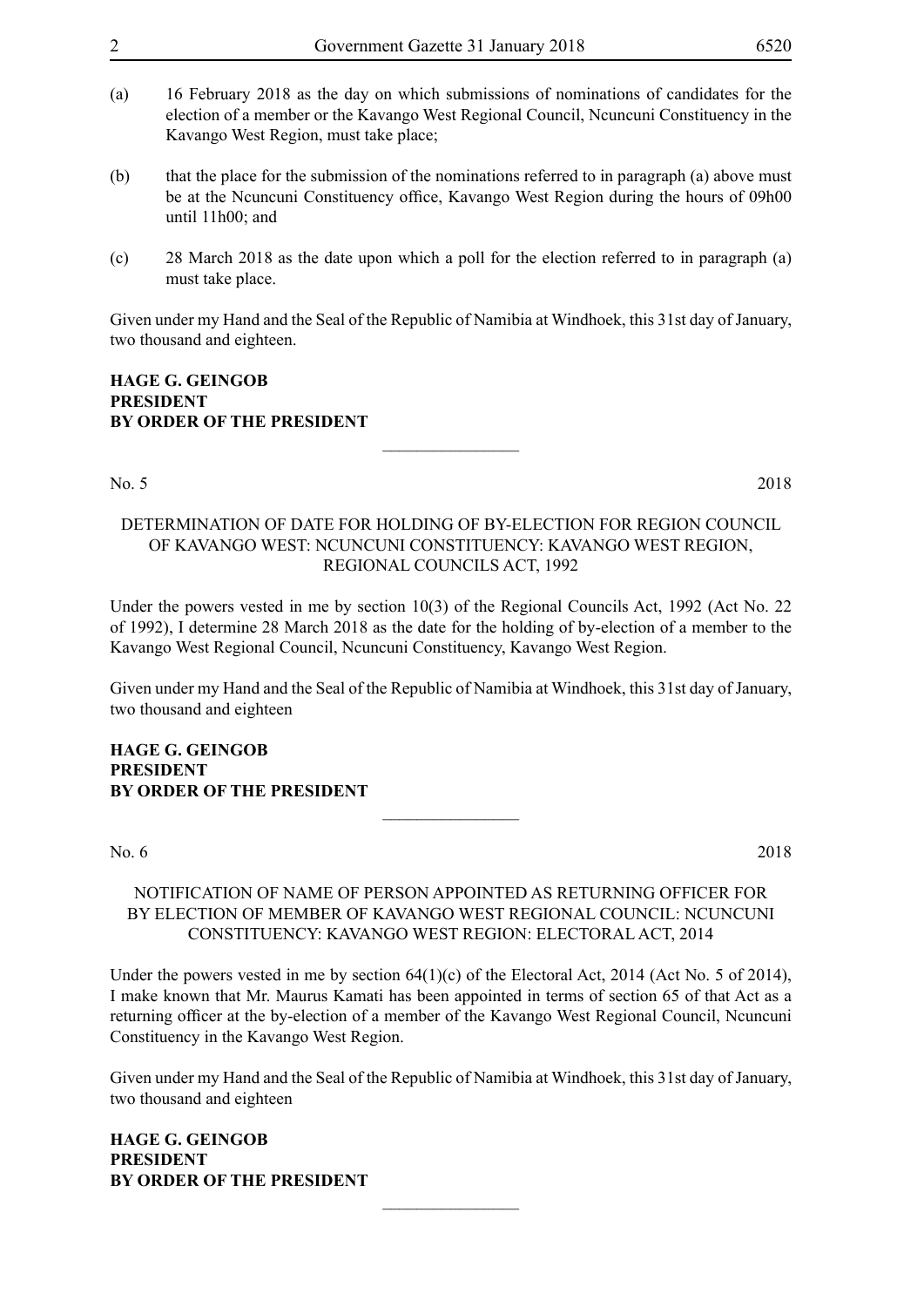- election of a member or the Kavango West Regional Council, Ncuncuni Constituency in the Kavango West Region, must take place;
- (b) that the place for the submission of the nominations referred to in paragraph (a) above must be at the Ncuncuni Constituency office, Kavango West Region during the hours of 09h00 until  $11h00$ ; and
- (c) 28 March 2018 as the date upon which a poll for the election referred to in paragraph (a) must take place.

Given under my Hand and the Seal of the Republic of Namibia at Windhoek, this 31st day of January, two thousand and eighteen.

#### **HAGE G. GEINGOB PRESIDENT BY ORDER OF THE PRESIDENT**

#### No. 5 2018

#### DETERMINATION OF DATE FOR HOLDING OF BY-ELECTION FOR REGION COUNCIL OF KAVANGO WEST: NCUNCUNI CONSTITUENCY: KAVANGO WEST REGION, REGIONAL COUNCILS ACT, 1992

 $\overline{\phantom{a}}$  , where  $\overline{\phantom{a}}$ 

Under the powers vested in me by section 10(3) of the Regional Councils Act, 1992 (Act No. 22 of 1992), I determine 28 March 2018 as the date for the holding of by-election of a member to the Kavango West Regional Council, Ncuncuni Constituency, Kavango West Region.

Given under my Hand and the Seal of the Republic of Namibia at Windhoek, this 31st day of January, two thousand and eighteen

#### **HAGE G. GEINGOB PRESIDENT BY ORDER OF THE PRESIDENT**

No. 6 2018

#### NOTIFICATION OF NAME OF PERSON APPOINTED AS RETURNING OFFICER FOR BY ELECTION OF MEMBER OF KAVANGO WEST REGIONAL COUNCIL: NCUNCUNI CONSTITUENCY: KAVANGO WEST REGION: ELECTORAL ACT, 2014

 $\overline{\phantom{a}}$  , where  $\overline{\phantom{a}}$ 

Under the powers vested in me by section 64(1)(c) of the Electoral Act, 2014 (Act No. 5 of 2014), I make known that Mr. Maurus Kamati has been appointed in terms of section 65 of that Act as a returning officer at the by-election of a member of the Kavango West Regional Council, Ncuncuni Constituency in the Kavango West Region.

Given under my Hand and the Seal of the Republic of Namibia at Windhoek, this 31st day of January, two thousand and eighteen

 $\overline{\phantom{a}}$  , where  $\overline{\phantom{a}}$ 

**HAGE G. GEINGOB PRESIDENT BY ORDER OF THE PRESIDENT**